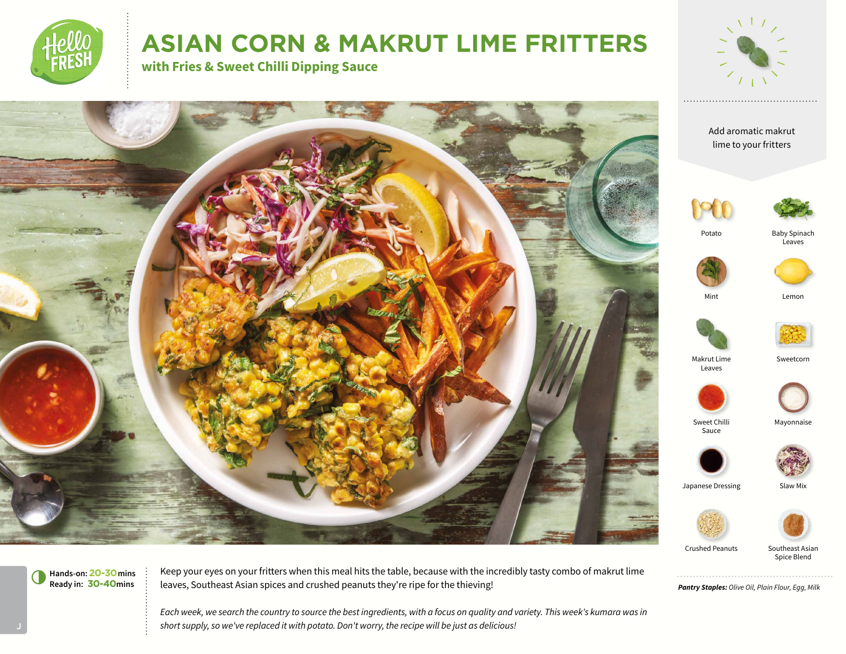

# **ASIAN CORN & MAKRUT LIME FRITTERS**



Spice Blend

*Pantry Staples: Olive Oil, Plain Flour, Egg, Milk*

**Hands-on:20-30mins** 6**Ready in: 30-40mins**

Keep your eyes on your fritters when this meal hits the table, because with the incredibly tasty combo of makrut lime leaves, Southeast Asian spices and crushed peanuts they're ripe for the thieving!

*Each week, we search the country to source the best ingredients, with a focus on quality and variety. This week's kumara was in short supply, so we've replaced it with potato. Don't worry, the recipe will be just as delicious!*